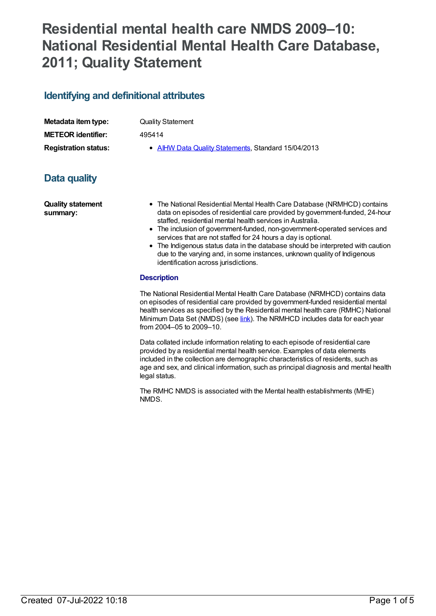# **Residential mental health care NMDS 2009–10: National Residential Mental Health Care Database, 2011; Quality Statement**

# **Identifying and definitional attributes**

| Metadata item type:         | <b>Quality Statement</b>                            |
|-----------------------------|-----------------------------------------------------|
| <b>METEOR identifier:</b>   | 495414                                              |
| <b>Registration status:</b> | • AIHW Data Quality Statements, Standard 15/04/2013 |

# **Data quality**

**Quality statement summary:**

- The National Residential Mental Health Care Database (NRMHCD) contains data on episodes of residential care provided by government-funded, 24-hour staffed, residential mental health services in Australia.
- The inclusion of government-funded, non-government-operated services and services that are not staffed for 24 hours a day is optional.
- The Indigenous status data in the database should be interpreted with caution due to the varying and, in some instances, unknown quality of Indigenous identification across jurisdictions.

### **Description**

The National Residential Mental Health Care Database (NRMHCD) contains data on episodes of residential care provided by government-funded residential mental health services as specified by the Residential mental health care (RMHC) National Minimum Data Set (NMDS) (see [link](file:///content/374223)). The NRMHCD includes data for each year from 2004–05 to 2009–10.

Data collated include information relating to each episode of residential care provided by a residential mental health service. Examples of data elements included in the collection are demographic characteristics of residents, such as age and sex, and clinical information, such as principal diagnosis and mental health legal status.

The RMHC NMDS is associated with the Mental health establishments (MHE) NMDS.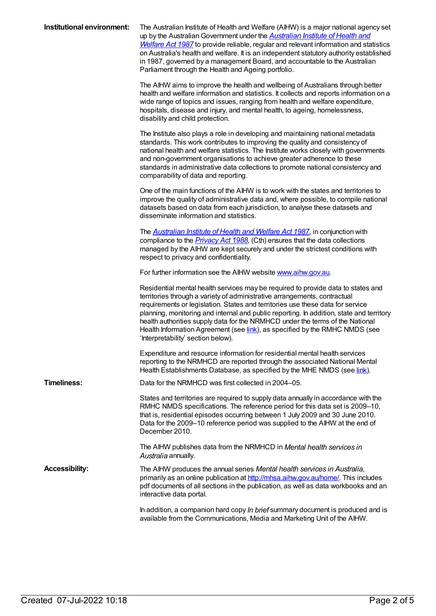| Institutional environment: | The Australian Institute of Health and Welfare (AIHW) is a major national agency set<br>up by the Australian Government under the <b>Australian Institute of Health and</b><br><b>Welfare Act 1987</b> to provide reliable, regular and relevant information and statistics<br>on Australia's health and welfare. It is an independent statutory authority established<br>in 1987, governed by a management Board, and accountable to the Australian<br>Parliament through the Health and Ageing portfolio.                                       |
|----------------------------|---------------------------------------------------------------------------------------------------------------------------------------------------------------------------------------------------------------------------------------------------------------------------------------------------------------------------------------------------------------------------------------------------------------------------------------------------------------------------------------------------------------------------------------------------|
|                            | The AIHW aims to improve the health and wellbeing of Australians through better<br>health and welfare information and statistics. It collects and reports information on a<br>wide range of topics and issues, ranging from health and welfare expenditure,<br>hospitals, disease and injury, and mental health, to ageing, homelessness,<br>disability and child protection.                                                                                                                                                                     |
|                            | The Institute also plays a role in developing and maintaining national metadata<br>standards. This work contributes to improving the quality and consistency of<br>national health and welfare statistics. The Institute works closely with governments<br>and non-government organisations to achieve greater adherence to these<br>standards in administrative data collections to promote national consistency and<br>comparability of data and reporting.                                                                                     |
|                            | One of the main functions of the AIHW is to work with the states and territories to<br>improve the quality of administrative data and, where possible, to compile national<br>datasets based on data from each jurisdiction, to analyse these datasets and<br>disseminate information and statistics.                                                                                                                                                                                                                                             |
|                            | The <b>Australian Institute of Health and Welfare Act 1987</b> , in conjunction with<br>compliance to the <i>Privacy Act 1988</i> , (Cth) ensures that the data collections<br>managed by the AIHW are kept securely and under the strictest conditions with<br>respect to privacy and confidentiality.                                                                                                                                                                                                                                           |
|                            | For further information see the AIHW website www.aihw.gov.au.                                                                                                                                                                                                                                                                                                                                                                                                                                                                                     |
|                            | Residential mental health services may be required to provide data to states and<br>territories through a variety of administrative arrangements, contractual<br>requirements or legislation. States and territories use these data for service<br>planning, monitoring and internal and public reporting. In addition, state and territory<br>health authorities supply data for the NRMHCD under the terms of the National<br>Health Information Agreement (see link), as specified by the RMHC NMDS (see<br>'Interpretability' section below). |
|                            | Expenditure and resource information for residential mental health services<br>reporting to the NRMHCD are reported through the associated National Mental<br>Health Establishments Database, as specified by the MHE NMDS (see link).                                                                                                                                                                                                                                                                                                            |
| <b>Timeliness:</b>         | Data for the NRMHCD was first collected in 2004–05.                                                                                                                                                                                                                                                                                                                                                                                                                                                                                               |
|                            | States and territories are required to supply data annually in accordance with the<br>RMHC NMDS specifications. The reference period for this data set is 2009-10,<br>that is, residential episodes occurring between 1 July 2009 and 30 June 2010.<br>Data for the 2009-10 reference period was supplied to the AIHW at the end of<br>December 2010.                                                                                                                                                                                             |
|                            | The AIHW publishes data from the NRMHCD in Mental health services in<br>Australia annually.                                                                                                                                                                                                                                                                                                                                                                                                                                                       |
| <b>Accessibility:</b>      | The AIHW produces the annual series Mental health services in Australia,<br>primarily as an online publication at http://mhsa.aihw.gov.au/home/. This includes<br>pdf documents of all sections in the publication, as well as data workbooks and an<br>interactive data portal.                                                                                                                                                                                                                                                                  |
|                            | In addition, a companion hard copy In brief summary document is produced and is<br>available from the Communications, Media and Marketing Unit of the AIHW.                                                                                                                                                                                                                                                                                                                                                                                       |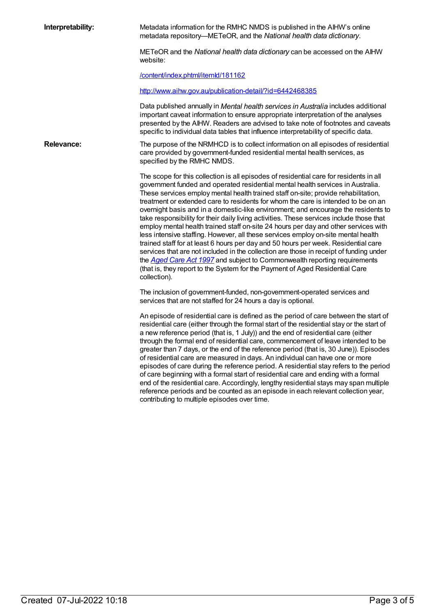**Interpretability:** Metadata information for the RMHC NMDS is published in the AIHW's online metadata repository—METeOR, and the *National health data dictionary*.

> METeOR and the *National health data dictionary* can be accessed on the AIHW website:

[/content/index.phtml/itemId/181162](file:///content/181162)

<http://www.aihw.gov.au/publication-detail/?id=6442468385>

Data published annually in *Mental health services in Australia* includes additional important caveat information to ensure appropriate interpretation of the analyses presented by the AIHW. Readers are advised to take note of footnotes and caveats specific to individual data tables that influence interpretability of specific data.

**Relevance:** The purpose of the NRMHCD is to collect information on all episodes of residential care provided by government-funded residential mental health services, as specified by the RMHC NMDS.

> The scope for this collection is all episodes of residential care for residents in all government funded and operated residential mental health services in Australia. These services employ mental health trained staff on-site; provide rehabilitation, treatment or extended care to residents for whom the care is intended to be on an overnight basis and in a domestic-like environment; and encourage the residents to take responsibility for their daily living activities. These services include those that employ mental health trained staff on-site 24 hours per day and other services with less intensive staffing. However, all these services employ on-site mental health trained staff for at least 6 hours per day and 50 hours per week. Residential care services that are not included in the collection are those in receipt of funding under the *[Aged](http://www.comlaw.gov.au/Details/C2012C00573) Care Act 1997* and subject to Commonwealth reporting requirements (that is, they report to the System for the Payment of Aged Residential Care collection).

The inclusion of government-funded, non-government-operated services and services that are not staffed for 24 hours a day is optional.

An episode of residential care is defined as the period of care between the start of residential care (either through the formal start of the residential stay or the start of a new reference period (that is, 1 July)) and the end of residential care (either through the formal end of residential care, commencement of leave intended to be greater than 7 days, or the end of the reference period (that is, 30 June)). Episodes of residential care are measured in days. An individual can have one or more episodes of care during the reference period. A residential stay refers to the period of care beginning with a formal start of residential care and ending with a formal end of the residential care. Accordingly, lengthy residential stays may span multiple reference periods and be counted as an episode in each relevant collection year, contributing to multiple episodes over time.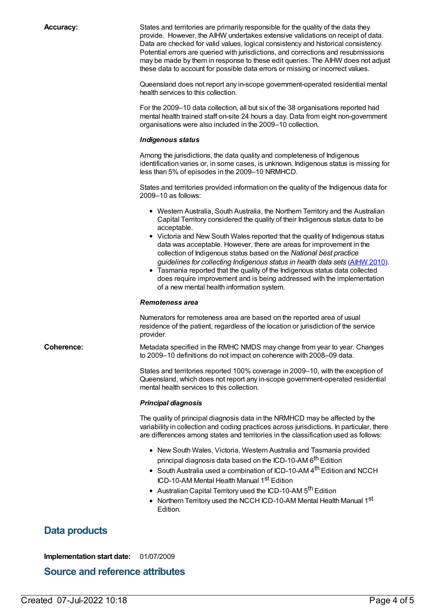**Accuracy:** States and territories are primarily responsible for the quality of the data they provide. However, the AIHW undertakes extensive validations on receipt of data. Data are checked for valid values, logical consistency and historical consistency. Potential errors are queried with jurisdictions, and corrections and resubmissions may be made by them in response to these edit queries. The AIHW does not adjust these data to account for possible data errors or missing or incorrect values. Queensland does not report any in-scope government-operated residential mental health services to this collection.

> For the 2009–10 data collection, all but six of the 38 organisations reported had mental health trained staff on-site 24 hours a day. Data from eight non-government organisations were also included in the 2009–10 collection.

#### *Indigenous status*

Among the jurisdictions, the data quality and completeness of Indigenous identification varies or, in some cases, is unknown. Indigenous status is missing for less than 5% of episodes in the 2009–10 NRMHCD.

States and territories provided information on the quality of the Indigenous data for 2009–10 as follows:

- Western Australia, South Australia, the Northern Territory and the Australian Capital Territory considered the quality of their Indigenous status data to be acceptable.
- Victoria and New South Wales reported that the quality of Indigenous status data was acceptable. However, there are areas for improvement in the collection of Indigenous status based on the *National best practice guidelines for collecting Indigenous status in health data sets* [\(AIHW](http://www.aihw.gov.au/WorkArea/DownloadAsset.aspx?id=6442458760) 2010).
- Tasmania reported that the quality of the Indigenous status data collected does require improvement and is being addressed with the implementation of a new mental health information system.

#### *Remoteness area*

Numerators for remoteness area are based on the reported area of usual residence of the patient, regardless of the location or jurisdiction of the service provider.

**Coherence:** Metadata specified in the RMHC NMDS may change from year to year. Changes to 2009–10 definitions do not impact on coherence with 2008–09 data.

> States and territories reported 100% coverage in 2009–10, with the exception of Queensland, which does not report any in-scope government-operated residential mental health services to this collection.

#### *Principal diagnosis*

The quality of principal diagnosis data in the NRMHCD may be affected by the variability in collection and coding practices across jurisdictions. In particular, there are differences among states and territories in the classification used as follows:

- New South Wales, Victoria, Western Australia and Tasmania provided principal diagnosis data based on the ICD-10-AM 6<sup>th</sup> Edition
- South Australia used a combination of ICD-10-AM 4<sup>th</sup> Edition and NCCH ICD-10-AM Mental Health Manual 1<sup>st</sup> Edition
- Australian Capital Territory used the ICD-10-AM 5<sup>th</sup> Edition
- Northern Territory used the NCCH ICD-10-AM Mental Health Manual 1<sup>st</sup> Edition.

# **Data products**

**Implementation start date:** 01/07/2009

### **Source and reference attributes**